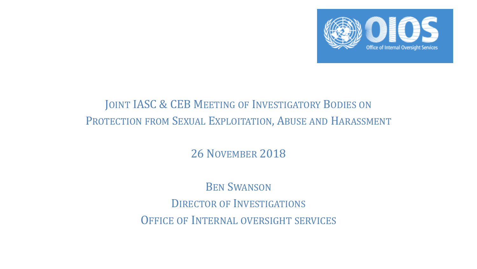

# JOINT IASC & CEB MEETING OF INVESTIGATORY BODIES ON PROTECTION FROM SEXUAL EXPLOITATION, ABUSE AND HARASSMENT

26 NOVEMBER 2018

BEN SWANSON DIRECTOR OF INVESTIGATIONS OFFICE OF INTERNAL OVERSIGHT SERVICES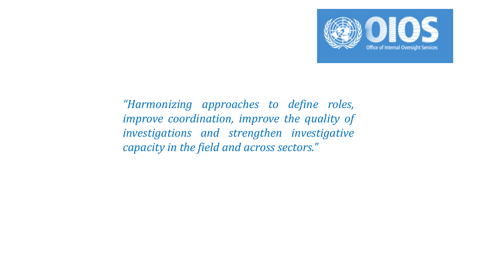

*"Harmonizing approaches to define roles, improve coordination, improve the quality of investigations and strengthen investigative capacity in the field and across sectors."*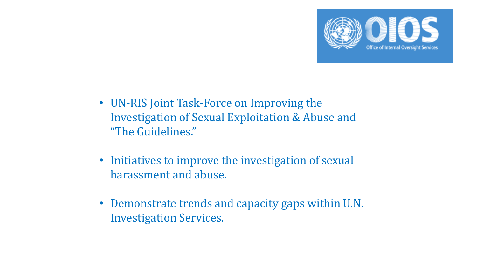

- UN-RIS Joint Task-Force on Improving the Investigation of Sexual Exploitation & Abuse and "The Guidelines."
- Initiatives to improve the investigation of sexual harassment and abuse.
- Demonstrate trends and capacity gaps within U.N. Investigation Services.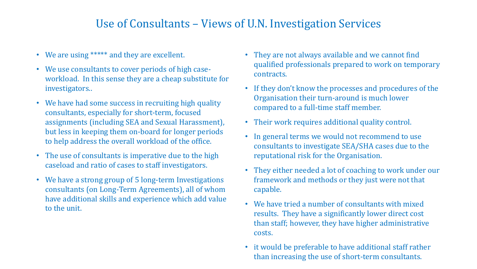## Use of Consultants – Views of U.N. Investigation Services

- We are using \*\*\*\*\* and they are excellent.
- We use consultants to cover periods of high caseworkload. In this sense they are a cheap substitute for investigators..
- We have had some success in recruiting high quality consultants, especially for short-term, focused assignments (including SEA and Sexual Harassment), but less in keeping them on-board for longer periods to help address the overall workload of the office.
- The use of consultants is imperative due to the high caseload and ratio of cases to staff investigators.
- We have a strong group of 5 long-term Investigations consultants (on Long-Term Agreements), all of whom have additional skills and experience which add value to the unit.
- They are not always available and we cannot find qualified professionals prepared to work on temporary contracts.
- If they don't know the processes and procedures of the Organisation their turn-around is much lower compared to a full-time staff member.
- Their work requires additional quality control.
- In general terms we would not recommend to use consultants to investigate SEA/SHA cases due to the reputational risk for the Organisation.
- They either needed a lot of coaching to work under our framework and methods or they just were not that capable.
- We have tried a number of consultants with mixed results. They have a significantly lower direct cost than staff; however, they have higher administrative costs.
- it would be preferable to have additional staff rather than increasing the use of short-term consultants.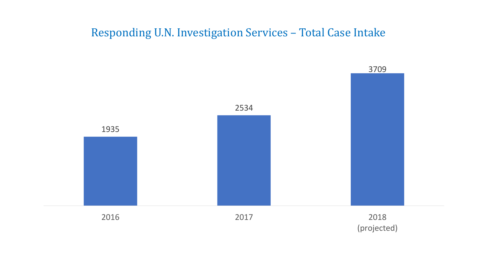### Responding U.N. Investigation Services – Total Case Intake

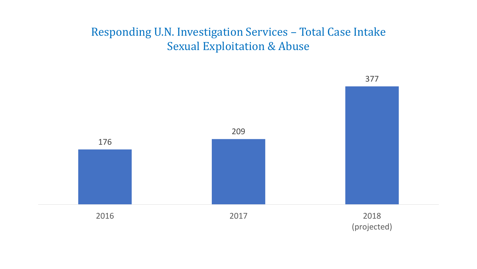# Responding U.N. Investigation Services – Total Case Intake Sexual Exploitation & Abuse

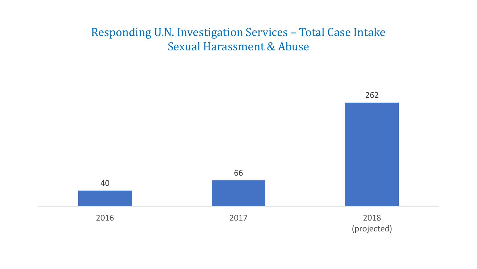# Responding U.N. Investigation Services – Total Case Intake Sexual Harassment & Abuse

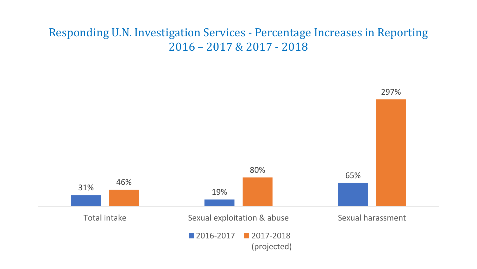# Responding U.N. Investigation Services - Percentage Increases in Reporting 2016 – 2017 & 2017 - 2018